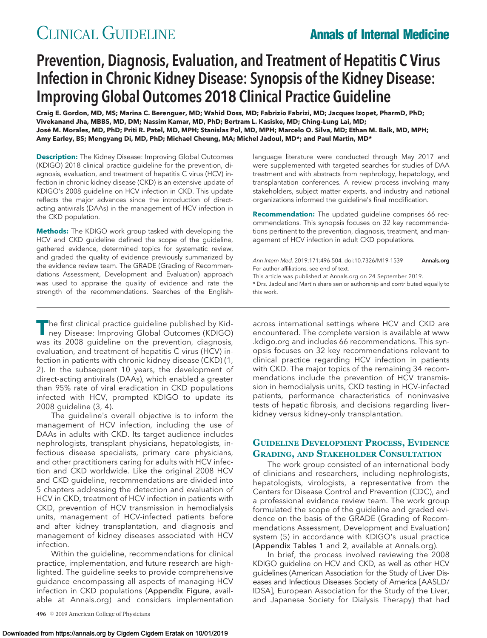# CLINICAL GUIDELINE **Annals of Internal Medicine**

# Prevention, Diagnosis, Evaluation, and Treatment of Hepatitis C Virus Infection in Chronic Kidney Disease: Synopsis of the Kidney Disease: Improving Global Outcomes 2018 Clinical Practice Guideline

**Craig E. Gordon, MD, MS; Marina C. Berenguer, MD; Wahid Doss, MD; Fabrizio Fabrizi, MD; Jacques Izopet, PharmD, PhD; Vivekanand Jha, MBBS, MD, DM; Nassim Kamar, MD, PhD; Bertram L. Kasiske, MD; Ching-Lung Lai, MD; Jose´ M. Morales, MD, PhD; Priti R. Patel, MD, MPH; Stanislas Pol, MD, MPH; Marcelo O. Silva, MD; Ethan M. Balk, MD, MPH; Amy Earley, BS; Mengyang Di, MD, PhD; Michael Cheung, MA; Michel Jadoul, MD\*; and Paul Martin, MD\***

this work.

**Description:** The Kidney Disease: Improving Global Outcomes (KDIGO) 2018 clinical practice guideline for the prevention, diagnosis, evaluation, and treatment of hepatitis C virus (HCV) infection in chronic kidney disease (CKD) is an extensive update of KDIGO's 2008 guideline on HCV infection in CKD. This update reflects the major advances since the introduction of directacting antivirals (DAAs) in the management of HCV infection in the CKD population.

**Methods:** The KDIGO work group tasked with developing the HCV and CKD guideline defined the scope of the guideline, gathered evidence, determined topics for systematic review, and graded the quality of evidence previously summarized by the evidence review team. The GRADE (Grading of Recommendations Assessment, Development and Evaluation) approach was used to appraise the quality of evidence and rate the strength of the recommendations. Searches of the English-

language literature were conducted through May 2017 and were supplemented with targeted searches for studies of DAA treatment and with abstracts from nephrology, hepatology, and transplantation conferences. A review process involving many stakeholders, subject matter experts, and industry and national organizations informed the guideline's final modification.

**Recommendation:** The updated guideline comprises 66 recommendations. This synopsis focuses on 32 key recommendations pertinent to the prevention, diagnosis, treatment, and management of HCV infection in adult CKD populations.

Ann Intern Med. 2019:171:496-504. doi:10.7326/M19-1539 **[Annals.org](http://www.annals.org)** For author affiliations, see end of text. This article was published at [Annals.org](http://www.annals.org) on 24 September 2019. \* Drs. Jadoul and Martin share senior authorship and contributed equally to

The first clinical practice guideline published by Kidney Disease: Improving Global Outcomes (KDIGO) was its 2008 guideline on the prevention, diagnosis, evaluation, and treatment of hepatitis C virus (HCV) infection in patients with chronic kidney disease (CKD) (1, 2). In the subsequent 10 years, the development of direct-acting antivirals (DAAs), which enabled a greater than 95% rate of viral eradication in CKD populations infected with HCV, prompted KDIGO to update its 2008 guideline (3, 4).

The guideline's overall objective is to inform the management of HCV infection, including the use of DAAs in adults with CKD. Its target audience includes nephrologists, transplant physicians, hepatologists, infectious disease specialists, primary care physicians, and other practitioners caring for adults with HCV infection and CKD worldwide. Like the original 2008 HCV and CKD guideline, recommendations are divided into 5 chapters addressing the detection and evaluation of HCV in CKD, treatment of HCV infection in patients with CKD, prevention of HCV transmission in hemodialysis units, management of HCV-infected patients before and after kidney transplantation, and diagnosis and management of kidney diseases associated with HCV infection.

Within the guideline, recommendations for clinical practice, implementation, and future research are highlighted. The guideline seeks to provide comprehensive guidance encompassing all aspects of managing HCV infection in CKD populations (Appendix Figure, available at [Annals.org\)](http://www.annals.org) and considers implementation

**496** © 2019 American College of Physicians

across international settings where HCV and CKD are encountered. The complete version is available at [www](http://www.kdigo.org) [.kdigo.org](http://www.kdigo.org) and includes 66 recommendations. This synopsis focuses on 32 key recommendations relevant to clinical practice regarding HCV infection in patients with CKD. The major topics of the remaining 34 recommendations include the prevention of HCV transmission in hemodialysis units, CKD testing in HCV-infected patients, performance characteristics of noninvasive tests of hepatic fibrosis, and decisions regarding liver– kidney versus kidney-only transplantation.

## **GUIDELINE DEVELOPMENT PROCESS, EVIDENCE GRADING, AND STAKEHOLDER CONSULTATION**

The work group consisted of an international body of clinicians and researchers, including nephrologists, hepatologists, virologists, a representative from the Centers for Disease Control and Prevention (CDC), and a professional evidence review team. The work group formulated the scope of the guideline and graded evidence on the basis of the GRADE (Grading of Recommendations Assessment, Development and Evaluation) system (5) in accordance with KDIGO's usual practice (Appendix Tables 1 and 2, available at [Annals.org\)](http://www.Annals.org).

In brief, the process involved reviewing the 2008 KDIGO guideline on HCV and CKD, as well as other HCV guidelines (American Association for the Study of Liver Diseases and Infectious Diseases Society of America [AASLD/ IDSA], European Association for the Study of the Liver, and Japanese Society for Dialysis Therapy) that had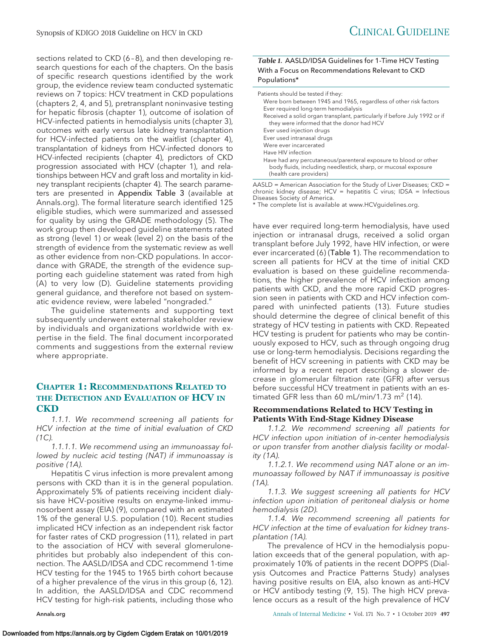sections related to CKD (6 – 8), and then developing research questions for each of the chapters. On the basis of specific research questions identified by the work group, the evidence review team conducted systematic reviews on 7 topics: HCV treatment in CKD populations (chapters 2, 4, and 5), pretransplant noninvasive testing for hepatic fibrosis (chapter 1), outcome of isolation of HCV-infected patients in hemodialysis units (chapter 3), outcomes with early versus late kidney transplantation for HCV-infected patients on the waitlist (chapter 4), transplantation of kidneys from HCV-infected donors to HCV-infected recipients (chapter 4), predictors of CKD progression associated with HCV (chapter 1), and relationships between HCV and graft loss and mortality in kidney transplant recipients (chapter 4). The search parameters are presented in Appendix Table 3 (available at [Annals.org\)](http://www.annals.org). The formal literature search identified 125 eligible studies, which were summarized and assessed for quality by using the GRADE methodology (5). The work group then developed guideline statements rated as strong (level 1) or weak (level 2) on the basis of the strength of evidence from the systematic review as well as other evidence from non-CKD populations. In accordance with GRADE, the strength of the evidence supporting each guideline statement was rated from high (A) to very low (D). Guideline statements providing general guidance, and therefore not based on systematic evidence review, were labeled "nongraded."

The guideline statements and supporting text subsequently underwent external stakeholder review by individuals and organizations worldwide with expertise in the field. The final document incorporated comments and suggestions from the external review where appropriate.

# **CHAPTER 1: RECOMMENDATIONS RELATED TO THE DETECTION AND EVALUATION OF HCV IN CKD**

1.1.1. We recommend screening all patients for HCV infection at the time of initial evaluation of CKD (1C).

1.1.1.1. We recommend using an immunoassay followed by nucleic acid testing (NAT) if immunoassay is positive (1A).

Hepatitis C virus infection is more prevalent among persons with CKD than it is in the general population. Approximately 5% of patients receiving incident dialysis have HCV-positive results on enzyme-linked immunosorbent assay (EIA) (9), compared with an estimated 1% of the general U.S. population (10). Recent studies implicated HCV infection as an independent risk factor for faster rates of CKD progression (11), related in part to the association of HCV with several glomerulonephritides but probably also independent of this connection. The AASLD/IDSA and CDC recommend 1-time HCV testing for the 1945 to 1965 birth cohort because of a higher prevalence of the virus in this group (6, 12). In addition, the AASLD/IDSA and CDC recommend HCV testing for high-risk patients, including those who

### *Table 1.* AASLD/IDSA Guidelines for 1-Time HCV Testing With a Focus on Recommendations Relevant to CKD Populations\*

| Patients should be tested if they:<br>Were born between 1945 and 1965, regardless of other risk factors<br>Ever required long-term hemodialysis                                             |
|---------------------------------------------------------------------------------------------------------------------------------------------------------------------------------------------|
| Received a solid organ transplant, particularly if before July 1992 or if<br>they were informed that the donor had HCV                                                                      |
| Ever used injection drugs                                                                                                                                                                   |
| Ever used intranasal drugs                                                                                                                                                                  |
| Were ever incarcerated                                                                                                                                                                      |
| Have HIV infection                                                                                                                                                                          |
| Have had any percutaneous/parenteral exposure to blood or other<br>body fluids, including needlestick, sharp, or mucosal exposure<br>(health care providers)                                |
| $\lambda$ , $\lambda$ , $\lambda$ , $\lambda$ , $\lambda$ , $\lambda$ , $\lambda$ , $\lambda$ , $\lambda$ , $\lambda$ , $\lambda$ , $\lambda$ , $\lambda$ , $\lambda$ , $\lambda$<br>$\sim$ |

AASLD = American Association for the Study of Liver Diseases; CKD = chronic kidney disease; HCV = hepatitis C virus; IDSA = Infectious Diseases Society of America.

\* The complete list is available at www.HCVguidelines.org.

have ever required long-term hemodialysis, have used injection or intranasal drugs, received a solid organ transplant before July 1992, have HIV infection, or were ever incarcerated (6) (Table 1). The recommendation to screen all patients for HCV at the time of initial CKD evaluation is based on these guideline recommendations, the higher prevalence of HCV infection among patients with CKD, and the more rapid CKD progression seen in patients with CKD and HCV infection compared with uninfected patients (13). Future studies should determine the degree of clinical benefit of this strategy of HCV testing in patients with CKD. Repeated HCV testing is prudent for patients who may be continuously exposed to HCV, such as through ongoing drug use or long-term hemodialysis. Decisions regarding the benefit of HCV screening in patients with CKD may be informed by a recent report describing a slower decrease in glomerular filtration rate (GFR) after versus before successful HCV treatment in patients with an estimated GFR less than 60 mL/min/1.73 m<sup>2</sup> (14).

### **Recommendations Related to HCV Testing in Patients With End-Stage Kidney Disease**

1.1.2. We recommend screening all patients for HCV infection upon initiation of in-center hemodialysis or upon transfer from another dialysis facility or modality (1A).

1.1.2.1. We recommend using NAT alone or an immunoassay followed by NAT if immunoassay is positive (1A).

1.1.3. We suggest screening all patients for HCV infection upon initiation of peritoneal dialysis or home hemodialysis (2D).

1.1.4. We recommend screening all patients for HCV infection at the time of evaluation for kidney transplantation (1A).

The prevalence of HCV in the hemodialysis population exceeds that of the general population, with approximately 10% of patients in the recent DOPPS (Dialysis Outcomes and Practice Patterns Study) analyses having positive results on EIA, also known as anti-HCV or HCV antibody testing (9, 15). The high HCV prevalence occurs as a result of the high prevalence of HCV

[Annals.org](http://www.annals.org) **Annals of Internal Medicine • Vol. 171 No. 7 • 1 October 2019 497**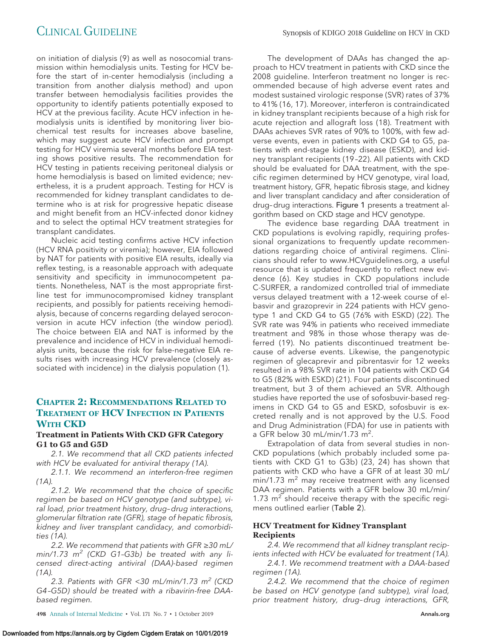on initiation of dialysis (9) as well as nosocomial transmission within hemodialysis units. Testing for HCV before the start of in-center hemodialysis (including a transition from another dialysis method) and upon transfer between hemodialysis facilities provides the opportunity to identify patients potentially exposed to HCV at the previous facility. Acute HCV infection in hemodialysis units is identified by monitoring liver biochemical test results for increases above baseline, which may suggest acute HCV infection and prompt testing for HCV viremia several months before EIA testing shows positive results. The recommendation for HCV testing in patients receiving peritoneal dialysis or home hemodialysis is based on limited evidence; nevertheless, it is a prudent approach. Testing for HCV is recommended for kidney transplant candidates to determine who is at risk for progressive hepatic disease and might benefit from an HCV-infected donor kidney and to select the optimal HCV treatment strategies for transplant candidates.

Nucleic acid testing confirms active HCV infection (HCV RNA positivity or viremia); however, EIA followed by NAT for patients with positive EIA results, ideally via reflex testing, is a reasonable approach with adequate sensitivity and specificity in immunocompetent patients. Nonetheless, NAT is the most appropriate firstline test for immunocompromised kidney transplant recipients, and possibly for patients receiving hemodialysis, because of concerns regarding delayed seroconversion in acute HCV infection (the window period). The choice between EIA and NAT is informed by the prevalence and incidence of HCV in individual hemodialysis units, because the risk for false-negative EIA results rises with increasing HCV prevalence (closely associated with incidence) in the dialysis population (1).

# **CHAPTER 2: RECOMMENDATIONS RELATED TO TREATMENT OF HCV INFECTION IN PATIENTS WITH CKD**

### **Treatment in Patients With CKD GFR Category G1 to G5 and G5D**

2.1. We recommend that all CKD patients infected with HCV be evaluated for antiviral therapy (1A).

2.1.1. We recommend an interferon-free regimen (1A).

2.1.2. We recommend that the choice of specific regimen be based on HCV genotype (and subtype), viral load, prior treatment history, drug–drug interactions, glomerular filtration rate (GFR), stage of hepatic fibrosis, kidney and liver transplant candidacy, and comorbidities (1A).

2.2. We recommend that patients with GFR ≥30 mL/  $min/1.73$   $m^2$  (CKD G1-G3b) be treated with any licensed direct-acting antiviral (DAA)-based regimen  $(1A)$ .

2.3. Patients with GFR <30 mL/min/1.73  $m^2$  (CKD G4 –G5D) should be treated with a ribavirin-free DAAbased regimen.

The development of DAAs has changed the approach to HCV treatment in patients with CKD since the 2008 guideline. Interferon treatment no longer is recommended because of high adverse event rates and modest sustained virologic response (SVR) rates of 37% to 41% (16, 17). Moreover, interferon is contraindicated in kidney transplant recipients because of a high risk for acute rejection and allograft loss (18). Treatment with DAAs achieves SVR rates of 90% to 100%, with few adverse events, even in patients with CKD G4 to G5, patients with end-stage kidney disease (ESKD), and kidney transplant recipients (19 –22). All patients with CKD should be evaluated for DAA treatment, with the specific regimen determined by HCV genotype, viral load, treatment history, GFR, hepatic fibrosis stage, and kidney and liver transplant candidacy and after consideration of drug–drug interactions. Figure 1 presents a treatment algorithm based on CKD stage and HCV genotype.

The evidence base regarding DAA treatment in CKD populations is evolving rapidly, requiring professional organizations to frequently update recommendations regarding choice of antiviral regimens. Clinicians should refer to [www.HCVguidelines.org,](http://www.HCVguidelines.org) a useful resource that is updated frequently to reflect new evidence (6). Key studies in CKD populations include C-SURFER, a randomized controlled trial of immediate versus delayed treatment with a 12-week course of elbasvir and grazoprevir in 224 patients with HCV genotype 1 and CKD G4 to G5 (76% with ESKD) (22). The SVR rate was 94% in patients who received immediate treatment and 98% in those whose therapy was deferred (19). No patients discontinued treatment because of adverse events. Likewise, the pangenotypic regimen of glecaprevir and pibrentasvir for 12 weeks resulted in a 98% SVR rate in 104 patients with CKD G4 to G5 (82% with ESKD) (21). Four patients discontinued treatment, but 3 of them achieved an SVR. Although studies have reported the use of sofosbuvir-based regimens in CKD G4 to G5 and ESKD, sofosbuvir is excreted renally and is not approved by the U.S. Food and Drug Administration (FDA) for use in patients with a GFR below 30 mL/min/1.73  $m^2$ .

Extrapolation of data from several studies in non-CKD populations (which probably included some patients with CKD G1 to G3b) (23, 24) has shown that patients with CKD who have a GFR of at least 30 mL/  $m$ in/1.73 m<sup>2</sup> may receive treatment with any licensed DAA regimen. Patients with a GFR below 30 mL/min/ 1.73  $m<sup>2</sup>$  should receive therapy with the specific regimens outlined earlier (Table 2).

### **HCV Treatment for Kidney Transplant Recipients**

2.4. We recommend that all kidney transplant recipients infected with HCV be evaluated for treatment (1A).

2.4.1. We recommend treatment with a DAA-based regimen (1A).

2.4.2. We recommend that the choice of regimen be based on HCV genotype (and subtype), viral load, prior treatment history, drug–drug interactions, GFR,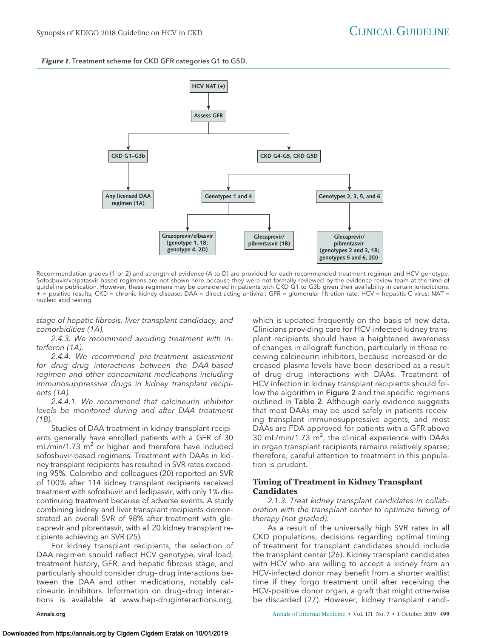#### *Figure 1.* Treatment scheme for CKD GFR categories G1 to G5D.



Recommendation grades (1 or 2) and strength of evidence (A to D) are provided for each recommended treatment regimen and HCV genotype. Sofosbuvir/velpatasvir-based regimens are not shown here because they were not formally reviewed by the evidence review team at the time of guideline publication. However, these regimens may be considered in patients with CKD G1 to G3b given their availability in certain jurisdictions. + = positive results; CKD = chronic kidney disease; DAA = direct-acting antiviral; GFR = glomerular filtration rate; HCV = hepatitis C virus; NAT = nucleic acid testing.

stage of hepatic fibrosis, liver transplant candidacy, and comorbidities (1A).

2.4.3. We recommend avoiding treatment with interferon (1A).

2.4.4. We recommend pre-treatment assessment for drug–drug interactions between the DAA-based regimen and other concomitant medications including immunosuppressive drugs in kidney transplant recipients (1A).

2.4.4.1. We recommend that calcineurin inhibitor levels be monitored during and after DAA treatment (1B).

Studies of DAA treatment in kidney transplant recipients generally have enrolled patients with a GFR of 30  $mL/min/1.73$  m<sup>2</sup> or higher and therefore have included sofosbuvir-based regimens. Treatment with DAAs in kidney transplant recipients has resulted in SVR rates exceeding 95%. Colombo and colleagues (20) reported an SVR of 100% after 114 kidney transplant recipients received treatment with sofosbuvir and ledipasvir, with only 1% discontinuing treatment because of adverse events. A study combining kidney and liver transplant recipients demonstrated an overall SVR of 98% after treatment with glecaprevir and pibrentasvir, with all 20 kidney transplant recipients achieving an SVR (25).

For kidney transplant recipients, the selection of DAA regimen should reflect HCV genotype, viral load, treatment history, GFR, and hepatic fibrosis stage, and particularly should consider drug–drug interactions between the DAA and other medications, notably calcineurin inhibitors. Information on drug–drug interactions is available at [www.hep-druginteractions.org,](http://www.hep-druginteractions.org)

which is updated frequently on the basis of new data. Clinicians providing care for HCV-infected kidney transplant recipients should have a heightened awareness of changes in allograft function, particularly in those receiving calcineurin inhibitors, because increased or decreased plasma levels have been described as a result of drug–drug interactions with DAAs. Treatment of HCV infection in kidney transplant recipients should follow the algorithm in Figure 2 and the specific regimens outlined in Table 2. Although early evidence suggests that most DAAs may be used safely in patients receiving transplant immunosuppressive agents, and most DAAs are FDA-approved for patients with a GFR above 30 mL/min/1.73  $m^2$ , the clinical experience with DAAs in organ transplant recipients remains relatively sparse; therefore, careful attention to treatment in this population is prudent.

### **Timing of Treatment in Kidney Transplant Candidates**

2.1.3. Treat kidney transplant candidates in collaboration with the transplant center to optimize timing of therapy (not graded).

As a result of the universally high SVR rates in all CKD populations, decisions regarding optimal timing of treatment for transplant candidates should include the transplant center (26). Kidney transplant candidates with HCV who are willing to accept a kidney from an HCV-infected donor may benefit from a shorter waitlist time if they forgo treatment until after receiving the HCV-positive donor organ, a graft that might otherwise be discarded (27). However, kidney transplant candi-

[Annals.org](http://www.annals.org) **Annals of Internal Medicine • Vol. 171 No. 7 • 1 October 2019 499**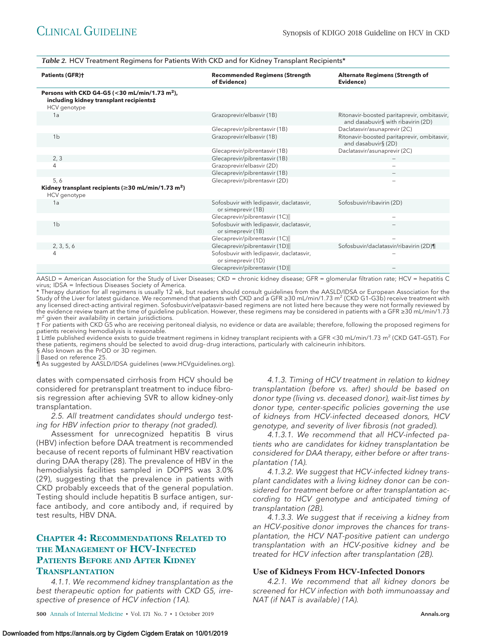| <b>Patients (GFR)t</b>                                                                                               | <b>Recommended Regimens (Strength</b><br>of Evidence)          | Alternate Regimens (Strength of<br>Evidence)                                      |  |
|----------------------------------------------------------------------------------------------------------------------|----------------------------------------------------------------|-----------------------------------------------------------------------------------|--|
| Persons with CKD G4-G5 (<30 mL/min/1.73 m <sup>2</sup> ),<br>including kidney transplant recipients‡<br>HCV genotype |                                                                |                                                                                   |  |
| 1a                                                                                                                   | Grazoprevir/elbasvir (1B)                                      | Ritonavir-boosted paritaprevir, ombitasvir,<br>and dasabuvir§ with ribavirin (2D) |  |
|                                                                                                                      | Glecaprevir/pibrentasvir (1B)                                  | Daclatasvir/asunaprevir (2C)                                                      |  |
| 1 <sub>b</sub>                                                                                                       | Grazoprevir/elbasvir (1B)                                      | Ritonavir-boosted paritaprevir, ombitasvir,<br>and dasabuvir§ (2D)                |  |
|                                                                                                                      | Glecaprevir/pibrentasvir (1B)                                  | Daclatasvir/asunaprevir (2C)                                                      |  |
| 2, 3                                                                                                                 | Glecaprevir/pibrentasvir (1B)                                  |                                                                                   |  |
| 4                                                                                                                    | Grazoprevir/elbasvir (2D)                                      | $\overline{\phantom{0}}$                                                          |  |
|                                                                                                                      | Glecaprevir/pibrentasvir (1B)                                  |                                                                                   |  |
| 5, 6                                                                                                                 | Glecaprevir/pibrentasvir (2D)                                  | $\overline{\phantom{0}}$                                                          |  |
| Kidney transplant recipients ( $\geq$ 30 mL/min/1.73 m <sup>2</sup> )<br>HCV genotype                                |                                                                |                                                                                   |  |
| 1a                                                                                                                   | Sofosbuvir with ledipasvir, daclatasvir,<br>or simeprevir (1B) | Sofosbuvir/ribavirin (2D)                                                         |  |
|                                                                                                                      | Glecaprevir/pibrentasvir (1C)                                  | $\overline{\phantom{0}}$                                                          |  |
| 1 <sub>b</sub>                                                                                                       | Sofosbuvir with ledipasvir, daclatasvir,<br>or simeprevir (1B) |                                                                                   |  |
|                                                                                                                      | Glecaprevir/pibrentasvir (1C)                                  |                                                                                   |  |
| 2, 3, 5, 6                                                                                                           | Glecaprevir/pibrentasvir (1D)                                  | Sofosbuvir/daclatasvir/ribavirin (2D)¶                                            |  |
| 4                                                                                                                    | Sofosbuvir with ledipasvir, daclatasvir,<br>or simeprevir (1D) |                                                                                   |  |
|                                                                                                                      | Glecaprevir/pibrentasvir (1D)                                  |                                                                                   |  |

AASLD = American Association for the Study of Liver Diseases; CKD = chronic kidney disease; GFR = glomerular filtration rate; HCV = hepatitis C virus; IDSA = Infectious Diseases Society of America.

\* Therapy duration for all regimens is usually 12 wk, but readers should consult guidelines from the AASLD/IDSA or European Association for the Study of the Liver for latest guidance. We recommend that patients with CKD and a GFR ≥30 mL/min/1.73 m<sup>2</sup> (CKD G1–G3b) receive treatment with any licensed direct-acting antiviral regimen. Sofosbuvir/velpatasvir-based regimens are not listed here because they were not formally reviewed by the evidence review team at the time of guideline publication. However, these regimens may be considered in patients with a GFR ≥30 mL/min/1.73  $m<sup>2</sup>$  given their availability in certain jurisdictions.

† For patients with CKD G5 who are receiving peritoneal dialysis, no evidence or data are available; therefore, following the proposed regimens for patients receiving hemodialysis is reasonable.

 $^\dagger$  Little published evidence exists to guide treatment regimens in kidney transplant recipients with a GFR <30 mL/min/1.73 m² (CKD G4T-G5T). For these patients, regimens should be selected to avoid drug–drug interactions, particularly with calcineurin inhibitors. § Also known as the PrOD or 3D regimen.

Based on reference 25.

¶ As suggested by AASLD/IDSA guidelines (www.HCVguidelines.org).

dates with compensated cirrhosis from HCV should be considered for pretransplant treatment to induce fibrosis regression after achieving SVR to allow kidney-only transplantation.

2.5. All treatment candidates should undergo testing for HBV infection prior to therapy (not graded).

Assessment for unrecognized hepatitis B virus (HBV) infection before DAA treatment is recommended because of recent reports of fulminant HBV reactivation during DAA therapy (28). The prevalence of HBV in the hemodialysis facilities sampled in DOPPS was 3.0% (29), suggesting that the prevalence in patients with CKD probably exceeds that of the general population. Testing should include hepatitis B surface antigen, surface antibody, and core antibody and, if required by test results, HBV DNA.

# **CHAPTER 4: RECOMMENDATIONS RELATED TO THE MANAGEMENT OF HCV-INFECTED PATIENTS BEFORE AND AFTER KIDNEY TRANSPLANTATION**

4.1.1. We recommend kidney transplantation as the best therapeutic option for patients with CKD G5, irrespective of presence of HCV infection (1A).

4.1.3. Timing of HCV treatment in relation to kidney transplantation (before vs. after) should be based on donor type (living vs. deceased donor), wait-list times by donor type, center-specific policies governing the use of kidneys from HCV-infected deceased donors, HCV genotype, and severity of liver fibrosis (not graded).

4.1.3.1. We recommend that all HCV-infected patients who are candidates for kidney transplantation be considered for DAA therapy, either before or after transplantation (1A).

4.1.3.2. We suggest that HCV-infected kidney transplant candidates with a living kidney donor can be considered for treatment before or after transplantation according to HCV genotype and anticipated timing of transplantation (2B).

4.1.3.3. We suggest that if receiving a kidney from an HCV-positive donor improves the chances for transplantation, the HCV NAT-positive patient can undergo transplantation with an HCV-positive kidney and be treated for HCV infection after transplantation (2B).

#### **Use of Kidneys From HCV-Infected Donors**

4.2.1. We recommend that all kidney donors be screened for HCV infection with both immunoassay and NAT (if NAT is available) (1A).

Downloaded from https://annals.org by Cigdem Cigdem Eratak on 10/01/2019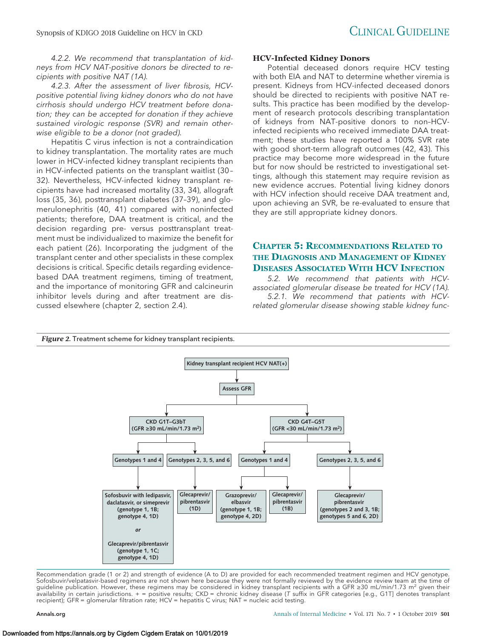4.2.2. We recommend that transplantation of kidneys from HCV NAT-positive donors be directed to recipients with positive NAT (1A).

4.2.3. After the assessment of liver fibrosis, HCVpositive potential living kidney donors who do not have cirrhosis should undergo HCV treatment before donation; they can be accepted for donation if they achieve sustained virologic response (SVR) and remain otherwise eligible to be a donor (not graded).

Hepatitis C virus infection is not a contraindication to kidney transplantation. The mortality rates are much lower in HCV-infected kidney transplant recipients than in HCV-infected patients on the transplant waitlist (30 – 32). Nevertheless, HCV-infected kidney transplant recipients have had increased mortality (33, 34), allograft loss (35, 36), posttransplant diabetes (37–39), and glomerulonephritis (40, 41) compared with noninfected patients; therefore, DAA treatment is critical, and the decision regarding pre- versus posttransplant treatment must be individualized to maximize the benefit for each patient (26). Incorporating the judgment of the transplant center and other specialists in these complex decisions is critical. Specific details regarding evidencebased DAA treatment regimens, timing of treatment, and the importance of monitoring GFR and calcineurin inhibitor levels during and after treatment are discussed elsewhere (chapter 2, section 2.4).

#### **HCV-Infected Kidney Donors**

Potential deceased donors require HCV testing with both EIA and NAT to determine whether viremia is present. Kidneys from HCV-infected deceased donors should be directed to recipients with positive NAT results. This practice has been modified by the development of research protocols describing transplantation of kidneys from NAT-positive donors to non–HCVinfected recipients who received immediate DAA treatment; these studies have reported a 100% SVR rate with good short-term allograft outcomes (42, 43). This practice may become more widespread in the future but for now should be restricted to investigational settings, although this statement may require revision as new evidence accrues. Potential living kidney donors with HCV infection should receive DAA treatment and, upon achieving an SVR, be re-evaluated to ensure that they are still appropriate kidney donors.

# **CHAPTER 5: RECOMMENDATIONS RELATED TO THE DIAGNOSIS AND MANAGEMENT OF KIDNEY DISEASES ASSOCIATED WITH HCV INFECTION**

5.2. We recommend that patients with HCVassociated glomerular disease be treated for HCV (1A). 5.2.1. We recommend that patients with HCVrelated glomerular disease showing stable kidney func-



Recommendation grade (1 or 2) and strength of evidence (A to D) are provided for each recommended treatment regimen and HCV genotype. Sofosbuvir/velpatasvir-based regimens are not shown here because they were not formally reviewed by the evidence review team at the time of guideline publication. However, these regimens may be considered in kidney transplant recipients with a GFR ≥30 mL/min/1.73 m<sup>2</sup> given their availability in certain jurisdictions. + = positive results; CKD = chronic kidney disease (T suffix in GFR categories [e.g., G1T] denotes transplant recipient); GFR = glomerular filtration rate; HCV = hepatitis C virus; NAT = nucleic acid testing.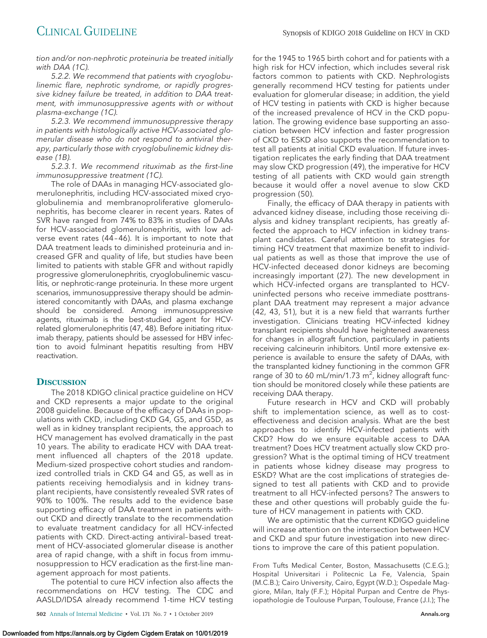tion and/or non-nephrotic proteinuria be treated initially with DAA (1C).

5.2.2. We recommend that patients with cryoglobulinemic flare, nephrotic syndrome, or rapidly progressive kidney failure be treated, in addition to DAA treatment, with immunosuppressive agents with or without plasma-exchange (1C).

5.2.3. We recommend immunosuppressive therapy in patients with histologically active HCV-associated glomerular disease who do not respond to antiviral therapy, particularly those with cryoglobulinemic kidney disease (1B).

5.2.3.1. We recommend rituximab as the first-line immunosuppressive treatment (1C).

The role of DAAs in managing HCV-associated glomerulonephritis, including HCV-associated mixed cryoglobulinemia and membranoproliferative glomerulonephritis, has become clearer in recent years. Rates of SVR have ranged from 74% to 83% in studies of DAAs for HCV-associated glomerulonephritis, with low adverse event rates (44 – 46). It is important to note that DAA treatment leads to diminished proteinuria and increased GFR and quality of life, but studies have been limited to patients with stable GFR and without rapidly progressive glomerulonephritis, cryoglobulinemic vasculitis, or nephrotic-range proteinuria. In these more urgent scenarios, immunosuppressive therapy should be administered concomitantly with DAAs, and plasma exchange should be considered. Among immunosuppressive agents, rituximab is the best-studied agent for HCVrelated glomerulonephritis (47, 48). Before initiating rituximab therapy, patients should be assessed for HBV infection to avoid fulminant hepatitis resulting from HBV reactivation.

## **DISCUSSION**

The 2018 KDIGO clinical practice guideline on HCV and CKD represents a major update to the original 2008 guideline. Because of the efficacy of DAAs in populations with CKD, including CKD G4, G5, and G5D, as well as in kidney transplant recipients, the approach to HCV management has evolved dramatically in the past 10 years. The ability to eradicate HCV with DAA treatment influenced all chapters of the 2018 update. Medium-sized prospective cohort studies and randomized controlled trials in CKD G4 and G5, as well as in patients receiving hemodialysis and in kidney transplant recipients, have consistently revealed SVR rates of 90% to 100%. The results add to the evidence base supporting efficacy of DAA treatment in patients without CKD and directly translate to the recommendation to evaluate treatment candidacy for all HCV-infected patients with CKD. Direct-acting antiviral–based treatment of HCV-associated glomerular disease is another area of rapid change, with a shift in focus from immunosuppression to HCV eradication as the first-line management approach for most patients.

The potential to cure HCV infection also affects the recommendations on HCV testing. The CDC and AASLD/IDSA already recommend 1-time HCV testing for the 1945 to 1965 birth cohort and for patients with a high risk for HCV infection, which includes several risk factors common to patients with CKD. Nephrologists generally recommend HCV testing for patients under evaluation for glomerular disease; in addition, the yield of HCV testing in patients with CKD is higher because of the increased prevalence of HCV in the CKD population. The growing evidence base supporting an association between HCV infection and faster progression of CKD to ESKD also supports the recommendation to test all patients at initial CKD evaluation. If future investigation replicates the early finding that DAA treatment may slow CKD progression (49), the imperative for HCV testing of all patients with CKD would gain strength because it would offer a novel avenue to slow CKD progression (50).

Finally, the efficacy of DAA therapy in patients with advanced kidney disease, including those receiving dialysis and kidney transplant recipients, has greatly affected the approach to HCV infection in kidney transplant candidates. Careful attention to strategies for timing HCV treatment that maximize benefit to individual patients as well as those that improve the use of HCV-infected deceased donor kidneys are becoming increasingly important (27). The new development in which HCV-infected organs are transplanted to HCVuninfected persons who receive immediate posttransplant DAA treatment may represent a major advance (42, 43, 51), but it is a new field that warrants further investigation. Clinicians treating HCV-infected kidney transplant recipients should have heightened awareness for changes in allograft function, particularly in patients receiving calcineurin inhibitors. Until more extensive experience is available to ensure the safety of DAAs, with the transplanted kidney functioning in the common GFR range of 30 to 60 mL/min/1.73  $m^2$ , kidney allograft function should be monitored closely while these patients are receiving DAA therapy.

Future research in HCV and CKD will probably shift to implementation science, as well as to costeffectiveness and decision analysis. What are the best approaches to identify HCV-infected patients with CKD? How do we ensure equitable access to DAA treatment? Does HCV treatment actually slow CKD progression? What is the optimal timing of HCV treatment in patients whose kidney disease may progress to ESKD? What are the cost implications of strategies designed to test all patients with CKD and to provide treatment to all HCV-infected persons? The answers to these and other questions will probably guide the future of HCV management in patients with CKD.

We are optimistic that the current KDIGO guideline will increase attention on the intersection between HCV and CKD and spur future investigation into new directions to improve the care of this patient population.

From Tufts Medical Center, Boston, Massachusetts (C.E.G.); Hospital Universitari i Politecnic La Fe, Valencia, Spain (M.C.B.); Cairo University, Cairo, Egypt (W.D.); Ospedale Maggiore, Milan, Italy (F.F.); Hôpital Purpan and Centre de Physiopathologie de Toulouse Purpan, Toulouse, France (J.I.); The

Downloaded from https://annals.org by Cigdem Cigdem Eratak on 10/01/2019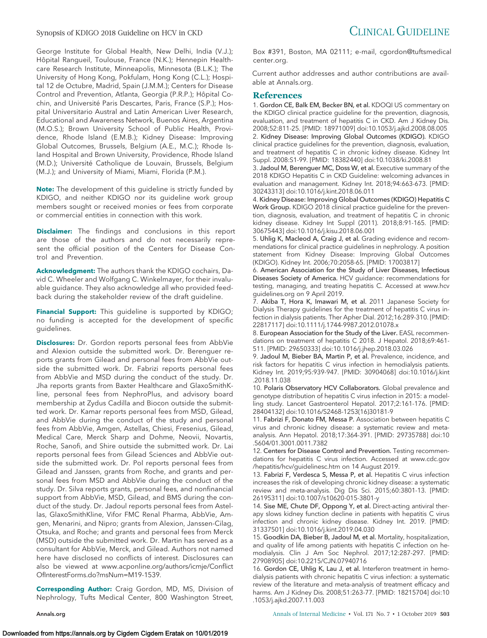# Synopsis of KDIGO 2018 Guideline on HCV in CKD CLINICAL GUIDELINE

George Institute for Global Health, New Delhi, India (V.J.); Hôpital Rangueil, Toulouse, France (N.K.); Hennepin Healthcare Research Institute, Minneapolis, Minnesota (B.L.K.); The University of Hong Kong, Pokfulam, Hong Kong (C.L.); Hospital 12 de Octubre, Madrid, Spain (J.M.M.); Centers for Disease Control and Prevention, Atlanta, Georgia (P.R.P.); Hôpital Cochin, and Université Paris Descartes, Paris, France (S.P.); Hospital Universitario Austral and Latin American Liver Research, Educational and Awareness Network, Buenos Aires, Argentina (M.O.S.); Brown University School of Public Health, Providence, Rhode Island (E.M.B.); Kidney Disease: Improving Global Outcomes, Brussels, Belgium (A.E., M.C.); Rhode Island Hospital and Brown University, Providence, Rhode Island (M.D.); Université Catholique de Louvain, Brussels, Belgium (M.J.); and University of Miami, Miami, Florida (P.M.).

**Note:** The development of this guideline is strictly funded by KDIGO, and neither KDIGO nor its guideline work group members sought or received monies or fees from corporate or commercial entities in connection with this work.

**Disclaimer:** The findings and conclusions in this report are those of the authors and do not necessarily represent the official position of the Centers for Disease Control and Prevention.

**Acknowledgment:** The authors thank the KDIGO cochairs, David C. Wheeler and Wolfgang C. Winkelmayer, for their invaluable guidance. They also acknowledge all who provided feedback during the stakeholder review of the draft guideline.

**Financial Support:** This guideline is supported by KDIGO; no funding is accepted for the development of specific guidelines.

**Disclosures:** Dr. Gordon reports personal fees from AbbVie and Alexion outside the submitted work. Dr. Berenguer reports grants from Gilead and personal fees from AbbVie outside the submitted work. Dr. Fabrizi reports personal fees from AbbVie and MSD during the conduct of the study. Dr. Jha reports grants from Baxter Healthcare and GlaxoSmithKline, personal fees from NephroPlus, and advisory board membership at Zydus Cadilla and Biocon outside the submitted work. Dr. Kamar reports personal fees from MSD, Gilead, and AbbVie during the conduct of the study and personal fees from AbbVie, Amgen, Astellas, Chiesi, Fresenius, Gilead, Medical Care, Merck Sharp and Dohme, Neovii, Novartis, Roche, Sanofi, and Shire outside the submitted work. Dr. Lai reports personal fees from Gilead Sciences and AbbVie outside the submitted work. Dr. Pol reports personal fees from Gilead and Janssen, grants from Roche, and grants and personal fees from MSD and AbbVie during the conduct of the study. Dr. Silva reports grants, personal fees, and nonfinancial support from AbbVie, MSD, Gilead, and BMS during the conduct of the study. Dr. Jadoul reports personal fees from Astellas, GlaxoSmithKline, Vifor FMC Renal Pharma, AbbVie, Amgen, Menarini, and Nipro; grants from Alexion, Janssen-Cilag, Otsuka, and Roche; and grants and personal fees from Merck (MSD) outside the submitted work. Dr. Martin has served as a consultant for AbbVie, Merck, and Gilead. Authors not named here have disclosed no conflicts of interest. Disclosures can also be viewed at [www.acponline.org/authors/icmje/Conflict](http://www.acponline.org/authors/icmje/ConflictOfInterestForms.do?msNum=M19-1539) [OfInterestForms.do?msNum=M19-1539.](http://www.acponline.org/authors/icmje/ConflictOfInterestForms.do?msNum=M19-1539)

**Corresponding Author:** Craig Gordon, MD, MS, Division of Nephrology, Tufts Medical Center, 800 Washington Street,

Box #391, Boston, MA 02111; e-mail, [cgordon@tuftsmedical](mailto:cgordon@tuftsmedicalcenter.org) [center.org.](mailto:cgordon@tuftsmedicalcenter.org)

Current author addresses and author contributions are available at [Annals.org.](http://www.annals.org)

#### **References**

1. Gordon CE, Balk EM, Becker BN, et al. KDOQI US commentary on the KDIGO clinical practice guideline for the prevention, diagnosis, evaluation, and treatment of hepatitis C in CKD. Am J Kidney Dis. 2008;52:811-25. [PMID: 18971009] doi:10.1053/j.ajkd.2008.08.005 2. Kidney Disease: Improving Global Outcomes (KDIGO). KDIGO clinical practice guidelines for the prevention, diagnosis, evaluation, and treatment of hepatitis C in chronic kidney disease. Kidney Int Suppl. 2008:S1-99. [PMID: 18382440] doi:10.1038/ki.2008.81

3. Jadoul M, Berenguer MC, Doss W, et al. Executive summary of the 2018 KDIGO Hepatitis C in CKD Guideline: welcoming advances in evaluation and management. Kidney Int. 2018;94:663-673. [PMID: 30243313] doi:10.1016/j.kint.2018.06.011

4. Kidney Disease: Improving Global Outcomes (KDIGO) Hepatitis C Work Group. KDIGO 2018 clinical practice guideline for the prevention, diagnosis, evaluation, and treatment of hepatitis C in chronic kidney disease. Kidney Int Suppl (2011). 2018;8:91-165. [PMID: 30675443] doi:10.1016/j.kisu.2018.06.001

5. Uhlig K, Macleod A, Craig J, et al. Grading evidence and recommendations for clinical practice guidelines in nephrology. A position statement from Kidney Disease: Improving Global Outcomes (KDIGO). Kidney Int. 2006;70:2058-65. [PMID: 17003817]

6. American Association for the Study of Liver Diseases, Infectious Diseases Society of America. HCV guidance: recommendations for testing, managing, and treating hepatitis C. Accessed at [www.hcv](http://www.hcvguidelines.org) [guidelines.org](http://www.hcvguidelines.org) on 9 April 2019.

7. Akiba T, Hora K, Imawari M, et al. 2011 Japanese Society for Dialysis Therapy guidelines for the treatment of hepatitis C virus infection in dialysis patients. Ther Apher Dial. 2012;16:289-310. [PMID: 22817117] doi:10.1111/j.1744-9987.2012.01078.x

8. European Association for the Study of the Liver. EASL recommendations on treatment of hepatitis C 2018. J Hepatol. 2018;69:461- 511. [PMID: 29650333] doi:10.1016/j.jhep.2018.03.026

9. Jadoul M, Bieber BA, Martin P, et al. Prevalence, incidence, and risk factors for hepatitis C virus infection in hemodialysis patients. Kidney Int. 2019;95:939-947. [PMID: 30904068] doi:10.1016/j.kint .2018.11.038

10. Polaris Observatory HCV Collaborators. Global prevalence and genotype distribution of hepatitis C virus infection in 2015: a modelling study. Lancet Gastroenterol Hepatol. 2017;2:161-176. [PMID: 28404132] doi:10.1016/S2468-1253(16)30181-9

11. Fabrizi F, Donato FM, Messa P. Association between hepatitis C virus and chronic kidney disease: a systematic review and metaanalysis. Ann Hepatol. 2018;17:364-391. [PMID: 29735788] doi:10 .5604/01.3001.0011.7382

12. Centers for Disease Control and Prevention. Testing recommendations for hepatitis C virus infection. Accessed at [www.cdc.gov](http://www.cdc.gov/hepatitis/hcv/guidelinesc.htm) [/hepatitis/hcv/guidelinesc.htm](http://www.cdc.gov/hepatitis/hcv/guidelinesc.htm) on 14 August 2019.

13. Fabrizi F, Verdesca S, Messa P, et al. Hepatitis C virus infection increases the risk of developing chronic kidney disease: a systematic review and meta-analysis. Dig Dis Sci. 2015;60:3801-13. [PMID: 26195311] doi:10.1007/s10620-015-3801-y

14. Sise ME, Chute DF, Oppong Y, et al. Direct-acting antiviral therapy slows kidney function decline in patients with hepatitis C virus infection and chronic kidney disease. Kidney Int. 2019. [PMID: 31337501] doi:10.1016/j.kint.2019.04.030

15. Goodkin DA, Bieber B, Jadoul M, et al. Mortality, hospitalization, and quality of life among patients with hepatitis C infection on hemodialysis. Clin J Am Soc Nephrol. 2017;12:287-297. [PMID: 27908905] doi:10.2215/CJN.07940716

16. Gordon CE, Uhlig K, Lau J, et al. Interferon treatment in hemodialysis patients with chronic hepatitis C virus infection: a systematic review of the literature and meta-analysis of treatment efficacy and harms. Am J Kidney Dis. 2008;51:263-77. [PMID: 18215704] doi:10 .1053/j.ajkd.2007.11.003

[Annals.org](http://www.annals.org) **Annals of Internal Medicine • Vol. 171 No. 7 • 1 October 2019 503**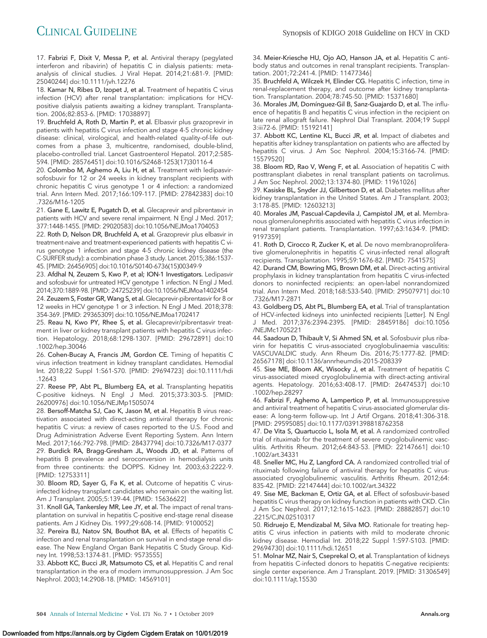17. Fabrizi F, Dixit V, Messa P, et al. Antiviral therapy (pegylated interferon and ribavirin) of hepatitis C in dialysis patients: metaanalysis of clinical studies. J Viral Hepat. 2014;21:681-9. [PMID: 25040244] doi:10.1111/jvh.12276

18. Kamar N, Ribes D, Izopet J, et al. Treatment of hepatitis C virus infection (HCV) after renal transplantation: implications for HCVpositive dialysis patients awaiting a kidney transplant. Transplantation. 2006;82:853-6. [PMID: 17038897]

19. Bruchfeld A, Roth D, Martin P, et al. Elbasvir plus grazoprevir in patients with hepatitis C virus infection and stage 4-5 chronic kidney disease: clinical, virological, and health-related quality-of-life outcomes from a phase 3, multicentre, randomised, double-blind, placebo-controlled trial. Lancet Gastroenterol Hepatol. 2017;2:585- 594. [PMID: 28576451] doi:10.1016/S2468-1253(17)30116-4

20. Colombo M, Aghemo A, Liu H, et al. Treatment with ledipasvirsofosbuvir for 12 or 24 weeks in kidney transplant recipients with chronic hepatitis C virus genotype 1 or 4 infection: a randomized trial. Ann Intern Med. 2017;166:109-117. [PMID: 27842383] doi:10 .7326/M16-1205

21. Gane E, Lawitz E, Pugatch D, et al. Glecaprevir and pibrentasvir in patients with HCV and severe renal impairment. N Engl J Med. 2017; 377:1448-1455. [PMID: 29020583] doi:10.1056/NEJMoa1704053

22. Roth D, Nelson DR, Bruchfeld A, et al. Grazoprevir plus elbasvir in treatment-naive and treatment-experienced patients with hepatitis C virus genotype 1 infection and stage 4-5 chronic kidney disease (the C-SURFER study): a combination phase 3 study. Lancet. 2015;386:1537- 45. [PMID: 26456905] doi:10.1016/S0140-6736(15)00349-9

23. Afdhal N, Zeuzem S, Kwo P, et al; ION-1 Investigators. Ledipasvir and sofosbuvir for untreated HCV genotype 1 infection. N Engl J Med. 2014;370:1889-98. [PMID: 24725239] doi:10.1056/NEJMoa1402454

24. Zeuzem S, Foster GR,Wang S, et al. Glecaprevir-pibrentasvir for 8 or 12 weeks in HCV genotype 1 or 3 infection. N Engl J Med. 2018;378: 354-369. [PMID: 29365309] doi:10.1056/NEJMoa1702417

25. Reau N, Kwo PY, Rhee S, et al. Glecaprevir/pibrentasvir treatment in liver or kidney transplant patients with hepatitis C virus infection. Hepatology. 2018;68:1298-1307. [PMID: 29672891] doi:10 .1002/hep.30046

26. Cohen-Bucay A, Francis JM, Gordon CE. Timing of hepatitis C virus infection treatment in kidney transplant candidates. Hemodial Int. 2018;22 Suppl 1:S61-S70. [PMID: 29694723] doi:10.1111/hdi .12643

27. Reese PP, Abt PL, Blumberg EA, et al. Transplanting hepatitis C-positive kidneys. N Engl J Med. 2015;373:303-5. [PMID: 26200976] doi:10.1056/NEJMp1505074

28. Bersoff-Matcha SJ, Cao K, Jason M, et al. Hepatitis B virus reactivation associated with direct-acting antiviral therapy for chronic hepatitis C virus: a review of cases reported to the U.S. Food and Drug Administration Adverse Event Reporting System. Ann Intern Med. 2017;166:792-798. [PMID: 28437794] doi:10.7326/M17-0377 29. Burdick RA, Bragg-Gresham JL, Woods JD, et al. Patterns of hepatitis B prevalence and seroconversion in hemodialysis units

from three continents: the DOPPS. Kidney Int. 2003;63:2222-9. [PMID: 12753311]

30. Bloom RD, Sayer G, Fa K, et al. Outcome of hepatitis C virusinfected kidney transplant candidates who remain on the waiting list. Am J Transplant. 2005;5:139-44. [PMID: 15636622]

31. Knoll GA, Tankersley MR, Lee JY, et al. The impact of renal transplantation on survival in hepatitis C-positive end-stage renal disease patients. Am J Kidney Dis. 1997;29:608-14. [PMID: 9100052]

32. Pereira BJ, Natov SN, Bouthot BA, et al. Effects of hepatitis C infection and renal transplantation on survival in end-stage renal disease. The New England Organ Bank Hepatitis C Study Group. Kidney Int. 1998;53:1374-81. [PMID: 9573555]

33. Abbott KC, Bucci JR, Matsumoto CS, et al. Hepatitis C and renal transplantation in the era of modern immunosuppression. J Am Soc Nephrol. 2003;14:2908-18. [PMID: 14569101]

34. Meier-Kriesche HU, Ojo AO, Hanson JA, et al. Hepatitis C antibody status and outcomes in renal transplant recipients. Transplantation. 2001;72:241-4. [PMID: 11477346]

35. Bruchfeld A, Wilczek H, Elinder CG. Hepatitis C infection, time in renal-replacement therapy, and outcome after kidney transplantation. Transplantation. 2004;78:745-50. [PMID: 15371680]

36. Morales JM, Domínguez-Gil B, Sanz-Guajardo D, et al. The influence of hepatitis B and hepatitis C virus infection in the recipient on late renal allograft failure. Nephrol Dial Transplant. 2004;19 Suppl 3:iii72-6. [PMID: 15192141]

37. Abbott KC, Lentine KL, Bucci JR, et al. Impact of diabetes and hepatitis after kidney transplantation on patients who are affected by hepatitis C virus. J Am Soc Nephrol. 2004;15:3166-74. [PMID: 15579520]

38. Bloom RD, Rao V, Weng F, et al. Association of hepatitis C with posttransplant diabetes in renal transplant patients on tacrolimus. J Am Soc Nephrol. 2002;13:1374-80. [PMID: 11961026]

39. Kasiske BL, Snyder JJ, Gilbertson D, et al. Diabetes mellitus after kidney transplantation in the United States. Am J Transplant. 2003; 3:178-85. [PMID: 12603213]

40. Morales JM, Pascual-Capdevila J, Campistol JM, et al. Membranous glomerulonephritis associated with hepatitis C virus infection in renal transplant patients. Transplantation. 1997;63:1634-9. [PMID: 9197359]

41. Roth D, Cirocco R, Zucker K, et al. De novo membranoproliferative glomerulonephritis in hepatitis C virus-infected renal allograft recipients. Transplantation. 1995;59:1676-82. [PMID: 7541575]

42. Durand CM, Bowring MG, Brown DM, et al. Direct-acting antiviral prophylaxis in kidney transplantation from hepatitis C virus-infected donors to noninfected recipients: an open-label nonrandomized trial. Ann Intern Med. 2018;168:533-540. [PMID: 29507971] doi:10 .7326/M17-2871

43. Goldberg DS, Abt PL, Blumberg EA, et al. Trial of transplantation of HCV-infected kidneys into uninfected recipients [Letter]. N Engl J Med. 2017;376:2394-2395. [PMID: 28459186] doi:10.1056 /NEJMc1705221

44. Saadoun D, Thibault V, Si Ahmed SN, et al. Sofosbuvir plus ribavirin for hepatitis C virus-associated cryoglobulinaemia vasculitis: VASCUVALDIC study. Ann Rheum Dis. 2016;75:1777-82. [PMID: 26567178] doi:10.1136/annrheumdis-2015-208339

45. Sise ME, Bloom AK, Wisocky J, et al. Treatment of hepatitis C virus-associated mixed cryoglobulinemia with direct-acting antiviral agents. Hepatology. 2016;63:408-17. [PMID: 26474537] doi:10 .1002/hep.28297

46. Fabrizi F, Aghemo A, Lampertico P, et al. Immunosuppressive and antiviral treatment of hepatitis C virus-associated glomerular disease: A long-term follow-up. Int J Artif Organs. 2018;41:306-318. [PMID: 29595085] doi:10.1177/0391398818762358

47. De Vita S, Quartuccio L, Isola M, et al. A randomized controlled trial of rituximab for the treatment of severe cryoglobulinemic vasculitis. Arthritis Rheum. 2012;64:843-53. [PMID: 22147661] doi:10 .1002/art.34331

48. Sneller MC, Hu Z, Langford CA. A randomized controlled trial of rituximab following failure of antiviral therapy for hepatitis C virusassociated cryoglobulinemic vasculitis. Arthritis Rheum. 2012;64: 835-42. [PMID: 22147444] doi:10.1002/art.34322

49. Sise ME, Backman E, Ortiz GA, et al. Effect of sofosbuvir-based hepatitis C virus therapy on kidney function in patients with CKD. Clin J Am Soc Nephrol. 2017;12:1615-1623. [PMID: 28882857] doi:10 .2215/CJN.02510317

50. Ridruejo E, Mendizabal M, Silva MO. Rationale for treating hepatitis C virus infection in patients with mild to moderate chronic kidney disease. Hemodial Int. 2018;22 Suppl 1:S97-S103. [PMID: 29694730] doi:10.1111/hdi.12651

51. Molnar MZ, Nair S, Cseprekal O, et al. Transplantation of kidneys from hepatitis C-infected donors to hepatitis C-negative recipients: single center experience. Am J Transplant. 2019. [PMID: 31306549] doi:10.1111/ajt.15530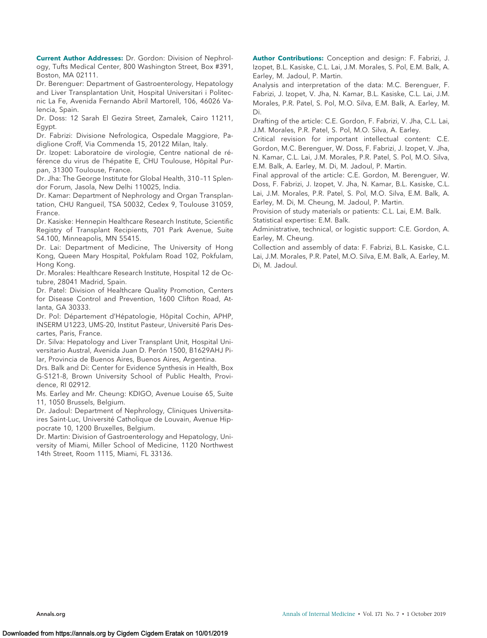**Current Author Addresses:** Dr. Gordon: Division of Nephrology, Tufts Medical Center, 800 Washington Street, Box #391, Boston, MA 02111.

Dr. Berenguer: Department of Gastroenterology, Hepatology and Liver Transplantation Unit, Hospital Universitari i Politecnic La Fe, Avenida Fernando Abril Martorell, 106, 46026 Valencia, Spain.

Dr. Doss: 12 Sarah El Gezira Street, Zamalek, Cairo 11211, Egypt.

Dr. Fabrizi: Divisione Nefrologica, Ospedale Maggiore, Padiglione Croff, Via Commenda 15, 20122 Milan, Italy.

Dr. Izopet: Laboratoire de virologie, Centre national de référence du virus de l'hépatite E, CHU Toulouse, Hôpital Purpan, 31300 Toulouse, France.

Dr. Jha: The George Institute for Global Health, 310 –11 Splendor Forum, Jasola, New Delhi 110025, India.

Dr. Kamar: Department of Nephrology and Organ Transplantation, CHU Rangueil, TSA 50032, Cedex 9, Toulouse 31059, France.

Dr. Kasiske: Hennepin Healthcare Research Institute, Scientific Registry of Transplant Recipients, 701 Park Avenue, Suite S4.100, Minneapolis, MN 55415.

Dr. Lai: Department of Medicine, The University of Hong Kong, Queen Mary Hospital, Pokfulam Road 102, Pokfulam, Hong Kong.

Dr. Morales: Healthcare Research Institute, Hospital 12 de Octubre, 28041 Madrid, Spain.

Dr. Patel: Division of Healthcare Quality Promotion, Centers for Disease Control and Prevention, 1600 Clifton Road, Atlanta, GA 30333.

Dr. Pol: Département d'Hépatologie, Hôpital Cochin, APHP, INSERM U1223, UMS-20, Institut Pasteur, Université Paris Descartes, Paris, France.

Dr. Silva: Hepatology and Liver Transplant Unit, Hospital Universitario Austral, Avenida Juan D. Perón 1500, B1629AHJ Pilar, Provincia de Buenos Aires, Buenos Aires, Argentina.

Drs. Balk and Di: Center for Evidence Synthesis in Health, Box G-S121-8, Brown University School of Public Health, Providence, RI 02912.

Ms. Earley and Mr. Cheung: KDIGO, Avenue Louise 65, Suite 11, 1050 Brussels, Belgium.

Dr. Jadoul: Department of Nephrology, Cliniques Universitaires Saint-Luc, Université Catholique de Louvain, Avenue Hippocrate 10, 1200 Bruxelles, Belgium.

Dr. Martin: Division of Gastroenterology and Hepatology, University of Miami, Miller School of Medicine, 1120 Northwest 14th Street, Room 1115, Miami, FL 33136.

**Author Contributions:** Conception and design: F. Fabrizi, J. Izopet, B.L. Kasiske, C.L. Lai, J.M. Morales, S. Pol, E.M. Balk, A. Earley, M. Jadoul, P. Martin.

Analysis and interpretation of the data: M.C. Berenguer, F. Fabrizi, J. Izopet, V. Jha, N. Kamar, B.L. Kasiske, C.L. Lai, J.M. Morales, P.R. Patel, S. Pol, M.O. Silva, E.M. Balk, A. Earley, M. Di.

Drafting of the article: C.E. Gordon, F. Fabrizi, V. Jha, C.L. Lai, J.M. Morales, P.R. Patel, S. Pol, M.O. Silva, A. Earley.

Critical revision for important intellectual content: C.E. Gordon, M.C. Berenguer, W. Doss, F. Fabrizi, J. Izopet, V. Jha, N. Kamar, C.L. Lai, J.M. Morales, P.R. Patel, S. Pol, M.O. Silva, E.M. Balk, A. Earley, M. Di, M. Jadoul, P. Martin.

Final approval of the article: C.E. Gordon, M. Berenguer, W. Doss, F. Fabrizi, J. Izopet, V. Jha, N. Kamar, B.L. Kasiske, C.L. Lai, J.M. Morales, P.R. Patel, S. Pol, M.O. Silva, E.M. Balk, A. Earley, M. Di, M. Cheung, M. Jadoul, P. Martin.

Provision of study materials or patients: C.L. Lai, E.M. Balk. Statistical expertise: E.M. Balk.

Administrative, technical, or logistic support: C.E. Gordon, A. Earley, M. Cheung.

Collection and assembly of data: F. Fabrizi, B.L. Kasiske, C.L. Lai, J.M. Morales, P.R. Patel, M.O. Silva, E.M. Balk, A. Earley, M. Di, M. Jadoul.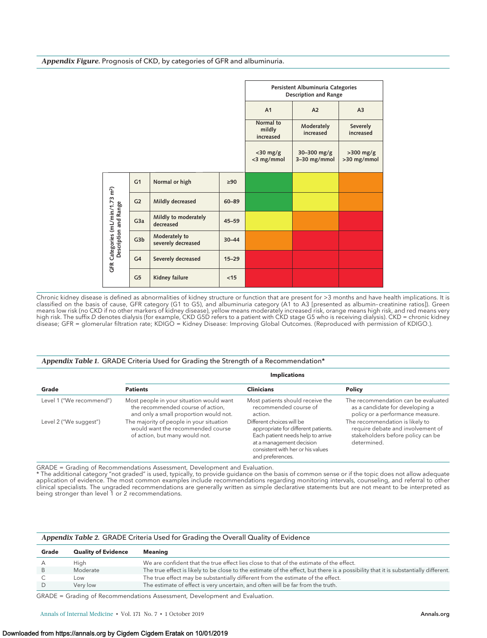*Appendix Figure.* Prognosis of CKD, by categories of GFR and albuminuria.

|                                                                        |                |                                     |           | Persistent Albuminuria Categories<br><b>Description and Range</b> |                                 |                            |
|------------------------------------------------------------------------|----------------|-------------------------------------|-----------|-------------------------------------------------------------------|---------------------------------|----------------------------|
|                                                                        |                |                                     |           | A <sub>1</sub>                                                    | A2                              | A3                         |
|                                                                        |                |                                     |           | Normal to<br>mildly<br>increased                                  | Moderately<br>increased         | Severely<br>increased      |
|                                                                        |                |                                     |           | $<$ 30 mg/g<br><3 mg/mmol                                         | 30-300 $mg/g$<br>$3-30$ mg/mmol | $>300$ mg/g<br>>30 mg/mmol |
|                                                                        | G <sub>1</sub> | Normal or high                      | $\geq 90$ |                                                                   |                                 |                            |
|                                                                        | G <sub>2</sub> | Mildly decreased                    | $60 - 89$ |                                                                   |                                 |                            |
|                                                                        | G3a            | Mildly to moderately<br>decreased   | $45 - 59$ |                                                                   |                                 |                            |
| Categories (mL/min/1.73 m <sup>2</sup> )<br>Description and Range<br>Ğ | G3b            | Moderately to<br>severely decreased | $30 - 44$ |                                                                   |                                 |                            |
|                                                                        | G4             | Severely decreased                  | $15 - 29$ |                                                                   |                                 |                            |
|                                                                        | G <sub>5</sub> | Kidney failure                      | < 15      |                                                                   |                                 |                            |

Chronic kidney disease is defined as abnormalities of kidney structure or function that are present for >3 months and have health implications. It is classified on the basis of cause, GFR category (G1 to G5), and albuminuria category (A1 to A3 [presented as albumin– creatinine ratios]). Green means low risk (no CKD if no other markers of kidney disease), yellow means moderately increased risk, orange means high risk, and red means very high risk. The suffix D denotes dialysis (for example, CKD G5D refers to a patient with CKD stage G5 who is receiving dialysis). CKD = chronic kidney disease; GFR = glomerular filtration rate; KDIGO = Kidney Disease: Improving Global Outcomes. (Reproduced with permission of KDIGO.).

#### *Appendix Table 1.* GRADE Criteria Used for Grading the Strength of a Recommendation\*

|                          | <b>Implications</b>                                                                                                     |                                                                                                                                                                                            |                                                                                                                          |  |
|--------------------------|-------------------------------------------------------------------------------------------------------------------------|--------------------------------------------------------------------------------------------------------------------------------------------------------------------------------------------|--------------------------------------------------------------------------------------------------------------------------|--|
| Grade                    | <b>Patients</b>                                                                                                         | <b>Clinicians</b>                                                                                                                                                                          | <b>Policy</b>                                                                                                            |  |
| Level 1 ("We recommend") | Most people in your situation would want<br>the recommended course of action,<br>and only a small proportion would not. | Most patients should receive the<br>recommended course of<br>action.                                                                                                                       | The recommendation can be evaluated<br>as a candidate for developing a<br>policy or a performance measure.               |  |
| Level 2 ("We suggest")   | The majority of people in your situation<br>would want the recommended course<br>of action, but many would not.         | Different choices will be<br>appropriate for different patients.<br>Each patient needs help to arrive<br>at a management decision<br>consistent with her or his values<br>and preferences. | The recommendation is likely to<br>require debate and involvement of<br>stakeholders before policy can be<br>determined. |  |

GRADE = Grading of Recommendations Assessment, Development and Evaluation.

\* The additional category "not graded" is used, typically, to provide guidance on the basis of common sense or if the topic does not allow adequate application of evidence. The most common examples include recommendations regarding monitoring intervals, counseling, and referral to other clinical specialists. The ungraded recommendations are generally written as simple declarative statements but are not meant to be interpreted as being stronger than level 1 or 2 recommendations.

| Appendix Table 2. GRADE Criteria Used for Grading the Overall Quality of Evidence |                            |                                                                                                                                     |  |
|-----------------------------------------------------------------------------------|----------------------------|-------------------------------------------------------------------------------------------------------------------------------------|--|
| Grade                                                                             | <b>Quality of Evidence</b> | <b>Meaning</b>                                                                                                                      |  |
|                                                                                   | High                       | We are confident that the true effect lies close to that of the estimate of the effect.                                             |  |
| B                                                                                 | Moderate                   | The true effect is likely to be close to the estimate of the effect, but there is a possibility that it is substantially different. |  |
|                                                                                   | Low                        | The true effect may be substantially different from the estimate of the effect.                                                     |  |
|                                                                                   | Very low                   | The estimate of effect is very uncertain, and often will be far from the truth.                                                     |  |

GRADE = Grading of Recommendations Assessment, Development and Evaluation.